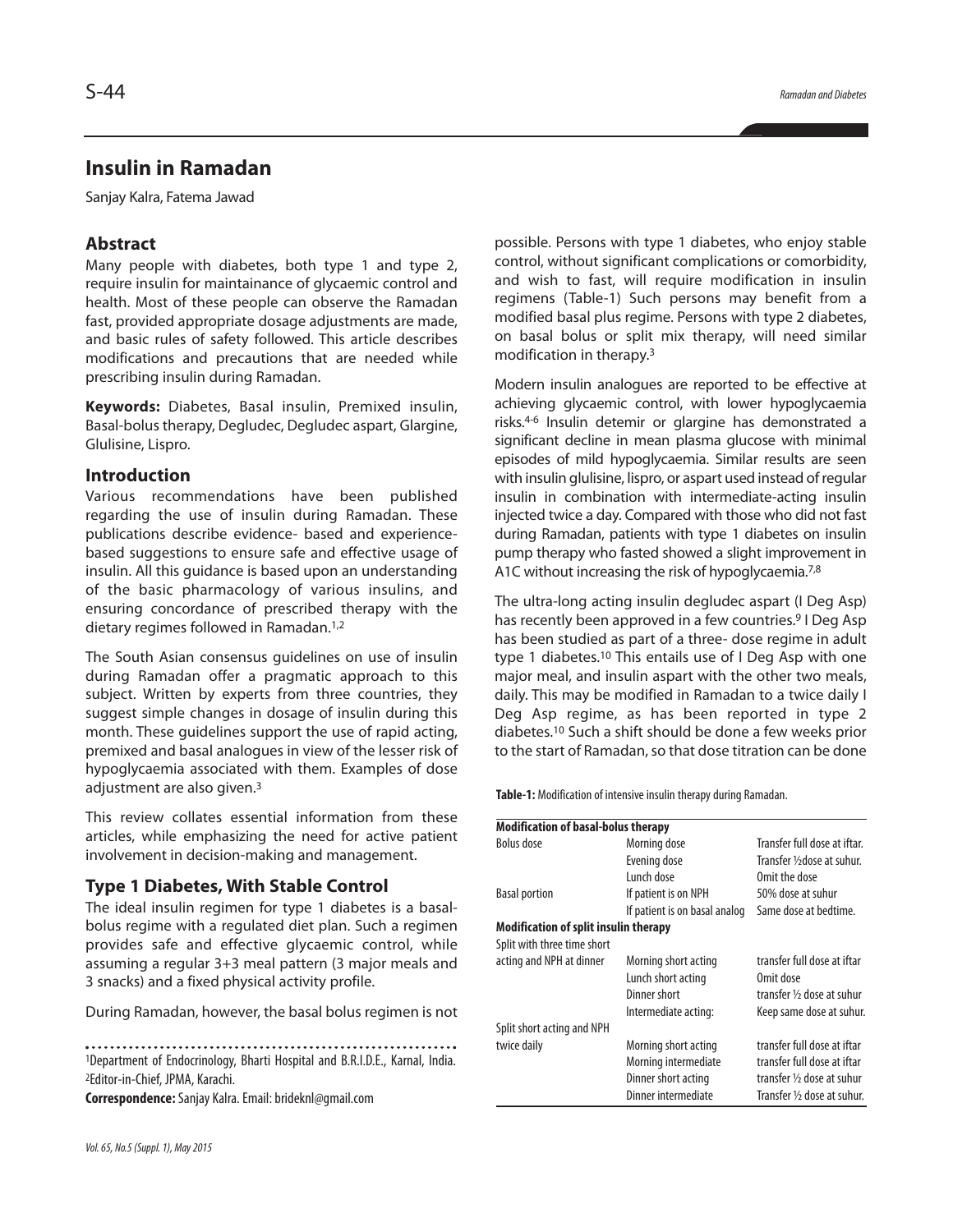# **Insulin in Ramadan**

Sanjay Kalra, Fatema Jawad

# **Abstract**

Many people with diabetes, both type 1 and type 2, require insulin for maintainance of glycaemic control and health. Most of these people can observe the Ramadan fast, provided appropriate dosage adjustments are made, and basic rules of safety followed. This article describes modifications and precautions that are needed while prescribing insulin during Ramadan.

**Keywords:** Diabetes, Basal insulin, Premixed insulin, Basal-bolus therapy, Degludec, Degludec aspart, Glargine, Glulisine, Lispro.

# **Introduction**

Various recommendations have been published regarding the use of insulin during Ramadan. These publications describe evidence- based and experiencebased suggestions to ensure safe and effective usage of insulin. All this guidance is based upon an understanding of the basic pharmacology of various insulins, and ensuring concordance of prescribed therapy with the dietary regimes followed in Ramadan. 1,2

The South Asian consensus guidelines on use of insulin during Ramadan offer a pragmatic approach to this subject. Written by experts from three countries, they suggest simple changes in dosage of insulin during this month. These guidelines support the use of rapid acting, premixed and basal analogues in view of the lesser risk of hypoglycaemia associated with them. Examples of dose adjustment are also given.<sup>3</sup>

This review collates essential information from these articles, while emphasizing the need for active patient involvement in decision-making and management.

### **Type 1 Diabetes, With Stable Control**

The ideal insulin regimen for type 1 diabetes is a basalbolus regime with a regulated diet plan. Such a regimen provides safe and effective glycaemic control, while assuming a regular 3+3 meal pattern (3 major meals and 3 snacks) and a fixed physical activity profile.

During Ramadan, however, the basal bolus regimen is not

1Department of Endocrinology, Bharti Hospital and B.R.I.D.E., Karnal, India.

2Editor-in-Chief, JPMA, Karachi.

**Correspondence:**Sanjay Kalra.Email:brideknl@gmail.com

possible. Persons with type 1 diabetes, who enjoy stable control, without significant complications or comorbidity, and wish to fast, will require modification in insulin regimens (Table-1) Such persons may benefit from a modified basal plus regime. Persons with type 2 diabetes, on basal bolus or split mix therapy, will need similar modification in therapy. 3

Modern insulin analogues are reported to be effective at achieving glycaemic control, with lower hypoglycaemia risks. 4-6 Insulin detemir or glargine has demonstrated a significant decline in mean plasma glucose with minimal episodes of mild hypoglycaemia. Similar results are seen with insulin glulisine, lispro, or aspart used instead ofregular insulin in combination with intermediate-acting insulin injected twice a day. Compared with those who did not fast during Ramadan, patients with type 1 diabetes on insulin pump therapy who fasted showed a slight improvement in A1C without increasing the risk of hypoglycaemia.<sup>7,8</sup>

The ultra-long acting insulin degludec aspart (I Deg Asp) has recently been approved in a few countries. <sup>9</sup> I Deg Asp has been studied as part of a three- dose regime in adult type 1 diabetes.<sup>10</sup> This entails use of I Deg Asp with one major meal, and insulin aspart with the other two meals, daily. This may be modified in Ramadan to a twice daily I Deg Asp regime, as has been reported in type 2 diabetes. <sup>10</sup> Such a shift should be done a few weeks prior to the start of Ramadan, so that dose titration can be done

Table-1: Modification of intensive insulin therapy during Ramadan.

| <b>Modification of basal-bolus therapy</b>   |                               |                              |
|----------------------------------------------|-------------------------------|------------------------------|
| Bolus dose                                   | Morning dose                  | Transfer full dose at iftar. |
|                                              | Evening dose                  | Transfer 1/2 dose at suhur.  |
|                                              | Lunch dose                    | Omit the dose                |
| <b>Basal portion</b>                         | If patient is on NPH          | 50% dose at suhur            |
|                                              | If patient is on basal analog | Same dose at bedtime.        |
| <b>Modification of split insulin therapy</b> |                               |                              |
| Split with three time short                  |                               |                              |
| acting and NPH at dinner                     | Morning short acting          | transfer full dose at iftar  |
|                                              | Lunch short acting            | Omit dose                    |
|                                              | Dinner short                  | transfer 1/2 dose at suhur   |
|                                              | Intermediate acting:          | Keep same dose at suhur.     |
| Split short acting and NPH                   |                               |                              |
| twice daily                                  | Morning short acting          | transfer full dose at iftar  |
|                                              | Morning intermediate          | transfer full dose at iftar  |
|                                              | Dinner short acting           | transfer 1/2 dose at suhur   |
|                                              | Dinner intermediate           | Transfer 1/2 dose at suhur.  |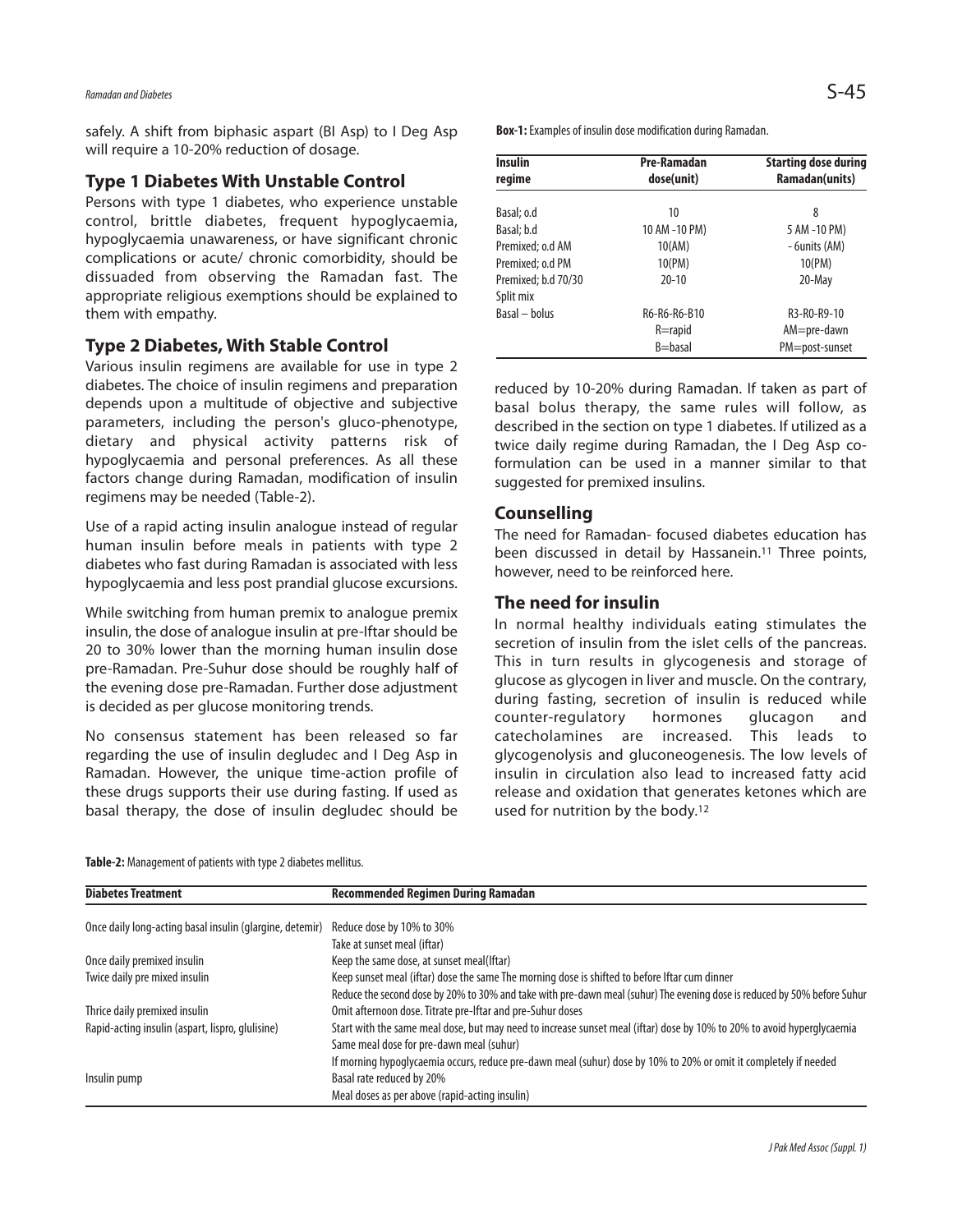*Ramadanand Diabetes* S-45

safely. A shift from biphasic aspart (BI Asp) to I Deg Asp will require a 10-20% reduction of dosage.

#### **Type 1 Diabetes With Unstable Control**

Persons with type 1 diabetes, who experience unstable control, brittle diabetes, frequent hypoglycaemia, hypoglycaemia unawareness, or have significant chronic complications or acute/ chronic comorbidity, should be dissuaded from observing the Ramadan fast. The appropriate religious exemptions should be explained to them with empathy.

# **Type 2 Diabetes, With Stable Control**

Various insulin regimens are available for use in type 2 diabetes. The choice of insulin regimens and preparation depends upon a multitude of objective and subjective parameters, including the person's gluco-phenotype, dietary and physical activity patterns risk of hypoglycaemia and personal preferences. As all these factors change during Ramadan, modification of insulin regimens may be needed (Table-2).

Use of a rapid acting insulin analogue instead of regular human insulin before meals in patients with type 2 diabetes who fast during Ramadan is associated with less hypoglycaemia and less post prandial glucose excursions.

While switching from human premix to analogue premix insulin, the dose of analogue insulin at pre-Iftar should be 20 to 30% lower than the morning human insulin dose pre-Ramadan. Pre-Suhur dose should be roughly half of the evening dose pre-Ramadan. Further dose adjustment is decided as per glucose monitoring trends.

No consensus statement has been released so far regarding the use of insulin degludec and I Deg Asp in Ramadan. However, the unique time-action profile of these drugs supports their use during fasting. If used as basal therapy, the dose of insulin degludec should be **Box-1:** Examples of insulin dose modification during Ramadan.

| <b>Insulin</b><br>regime | Pre-Ramadan<br>dose(unit) | <b>Starting dose during</b><br>Ramadan(units) |
|--------------------------|---------------------------|-----------------------------------------------|
|                          |                           |                                               |
| Basal; o.d               | 10                        | 8                                             |
| Basal; b.d               | 10 AM -10 PM)             | 5 AM -10 PM)                                  |
| Premixed; o.d AM         | 10(AM)                    | - 6units (AM)                                 |
| Premixed; o.d PM         | 10(PM)                    | 10(PM)                                        |
| Premixed; b.d 70/30      | $20 - 10$                 | 20-May                                        |
| Split mix                |                           |                                               |
| Basal - bolus            | R6-R6-R6-B10              | R3-R0-R9-10                                   |
|                          | $R =$ rapid               | AM=pre-dawn                                   |
|                          | B=basal                   | PM=post-sunset                                |

reduced by 10-20% during Ramadan. If taken as part of basal bolus therapy, the same rules will follow, as described in the section on type 1 diabetes. If utilized as a twice daily regime during Ramadan, the I Deg Asp coformulation can be used in a manner similar to that suggested for premixed insulins.

## **Counselling**

The need for Ramadan- focused diabetes education has been discussed in detail by Hassanein. <sup>11</sup> Three points, however, need to be reinforced here.

# **The need for insulin**

In normal healthy individuals eating stimulates the secretion of insulin from the islet cells of the pancreas. This in turn results in glycogenesis and storage of glucose as glycogen in liver and muscle. On the contrary, during fasting, secretion of insulin is reduced while counter-regulatory hormones glucagon and catecholamines are increased. This leads to glycogenolysis and gluconeogenesis. The low levels of insulin in circulation also lead to increased fatty acid release and oxidation that generates ketones which are used for nutrition by the body. 12

Table-2: Management of patients with type 2 diabetes mellitus.

| <b>Diabetes Treatment</b>                                | <b>Recommended Regimen During Ramadan</b>                                                                                |
|----------------------------------------------------------|--------------------------------------------------------------------------------------------------------------------------|
| Once daily long-acting basal insulin (glargine, detemir) | Reduce dose by 10% to 30%                                                                                                |
|                                                          | Take at sunset meal (iftar)                                                                                              |
| Once daily premixed insulin                              | Keep the same dose, at sunset meal(Iftar)                                                                                |
| Twice daily pre mixed insulin                            | Keep sunset meal (iftar) dose the same The morning dose is shifted to before Iftar cum dinner                            |
|                                                          | Reduce the second dose by 20% to 30% and take with pre-dawn meal (suhur) The evening dose is reduced by 50% before Suhur |
| Thrice daily premixed insulin                            | Omit afternoon dose. Titrate pre-lftar and pre-Suhur doses                                                               |
| Rapid-acting insulin (aspart, lispro, glulisine)         | Start with the same meal dose, but may need to increase sunset meal (iftar) dose by 10% to 20% to avoid hyperglycaemia   |
|                                                          | Same meal dose for pre-dawn meal (suhur)                                                                                 |
|                                                          | If morning hypoglycaemia occurs, reduce pre-dawn meal (suhur) dose by 10% to 20% or omit it completely if needed         |
| Insulin pump                                             | Basal rate reduced by 20%                                                                                                |
|                                                          | Meal doses as per above (rapid-acting insulin)                                                                           |